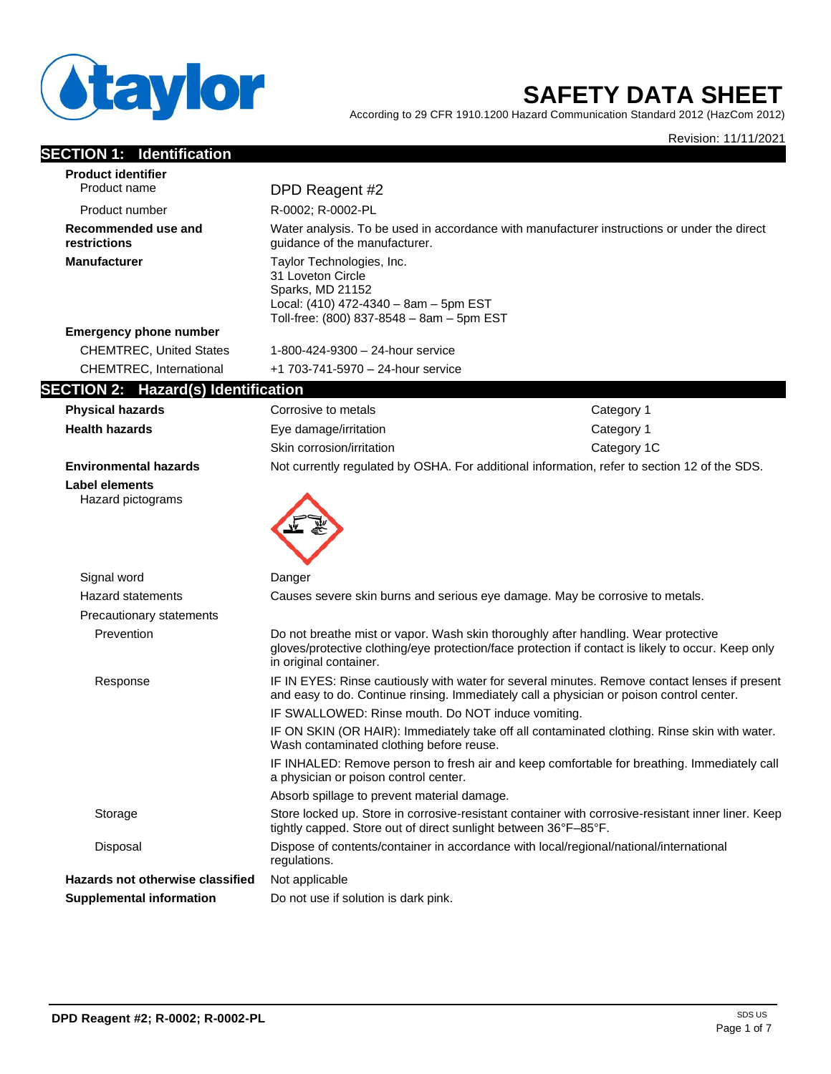

# **SAFETY DATA SHEET**

According to 29 CFR 1910.1200 Hazard Communication Standard 2012 (HazCom 2012)

Revision: 11/11/2021

## **SECTION 1: Identification**

| <b>Product identifier</b>                     |                                                                                                                                                                                                                    |             |
|-----------------------------------------------|--------------------------------------------------------------------------------------------------------------------------------------------------------------------------------------------------------------------|-------------|
| Product name                                  | DPD Reagent #2                                                                                                                                                                                                     |             |
| Product number                                | R-0002; R-0002-PL                                                                                                                                                                                                  |             |
| Recommended use and<br>restrictions           | Water analysis. To be used in accordance with manufacturer instructions or under the direct<br>guidance of the manufacturer.                                                                                       |             |
| <b>Manufacturer</b>                           | Taylor Technologies, Inc.<br>31 Loveton Circle<br>Sparks, MD 21152<br>Local: $(410)$ 472-4340 - 8am - 5pm EST<br>Toll-free: (800) 837-8548 - 8am - 5pm EST                                                         |             |
| <b>Emergency phone number</b>                 |                                                                                                                                                                                                                    |             |
| <b>CHEMTREC, United States</b>                | 1-800-424-9300 - 24-hour service                                                                                                                                                                                   |             |
| CHEMTREC, International                       | +1 703-741-5970 - 24-hour service                                                                                                                                                                                  |             |
| Hazard(s) Identification<br><b>SECTION 2:</b> |                                                                                                                                                                                                                    |             |
| <b>Physical hazards</b>                       | Corrosive to metals                                                                                                                                                                                                | Category 1  |
| <b>Health hazards</b>                         | Eye damage/irritation                                                                                                                                                                                              | Category 1  |
|                                               | Skin corrosion/irritation                                                                                                                                                                                          | Category 1C |
| <b>Environmental hazards</b>                  | Not currently regulated by OSHA. For additional information, refer to section 12 of the SDS.                                                                                                                       |             |
| Hazard pictograms                             |                                                                                                                                                                                                                    |             |
| Signal word                                   | Danger                                                                                                                                                                                                             |             |
| <b>Hazard statements</b>                      | Causes severe skin burns and serious eye damage. May be corrosive to metals.                                                                                                                                       |             |
| Precautionary statements                      |                                                                                                                                                                                                                    |             |
| Prevention                                    | Do not breathe mist or vapor. Wash skin thoroughly after handling. Wear protective<br>gloves/protective clothing/eye protection/face protection if contact is likely to occur. Keep only<br>in original container. |             |
| Response                                      | IF IN EYES: Rinse cautiously with water for several minutes. Remove contact lenses if present<br>and easy to do. Continue rinsing. Immediately call a physician or poison control center.                          |             |
|                                               | IF SWALLOWED: Rinse mouth. Do NOT induce vomiting.                                                                                                                                                                 |             |
|                                               | IF ON SKIN (OR HAIR): Immediately take off all contaminated clothing. Rinse skin with water.<br>Wash contaminated clothing before reuse.                                                                           |             |
|                                               | IF INHALED: Remove person to fresh air and keep comfortable for breathing. Immediately call<br>a physician or poison control center.                                                                               |             |
|                                               | Absorb spillage to prevent material damage.                                                                                                                                                                        |             |
| Storage                                       | Store locked up. Store in corrosive-resistant container with corrosive-resistant inner liner. Keep<br>tightly capped. Store out of direct sunlight between 36°F-85°F.                                              |             |
| Disposal                                      | Dispose of contents/container in accordance with local/regional/national/international<br>regulations.                                                                                                             |             |
| <b>Hazards not otherwise classified</b>       | Not applicable                                                                                                                                                                                                     |             |
| <b>Supplemental information</b>               | Do not use if solution is dark pink.                                                                                                                                                                               |             |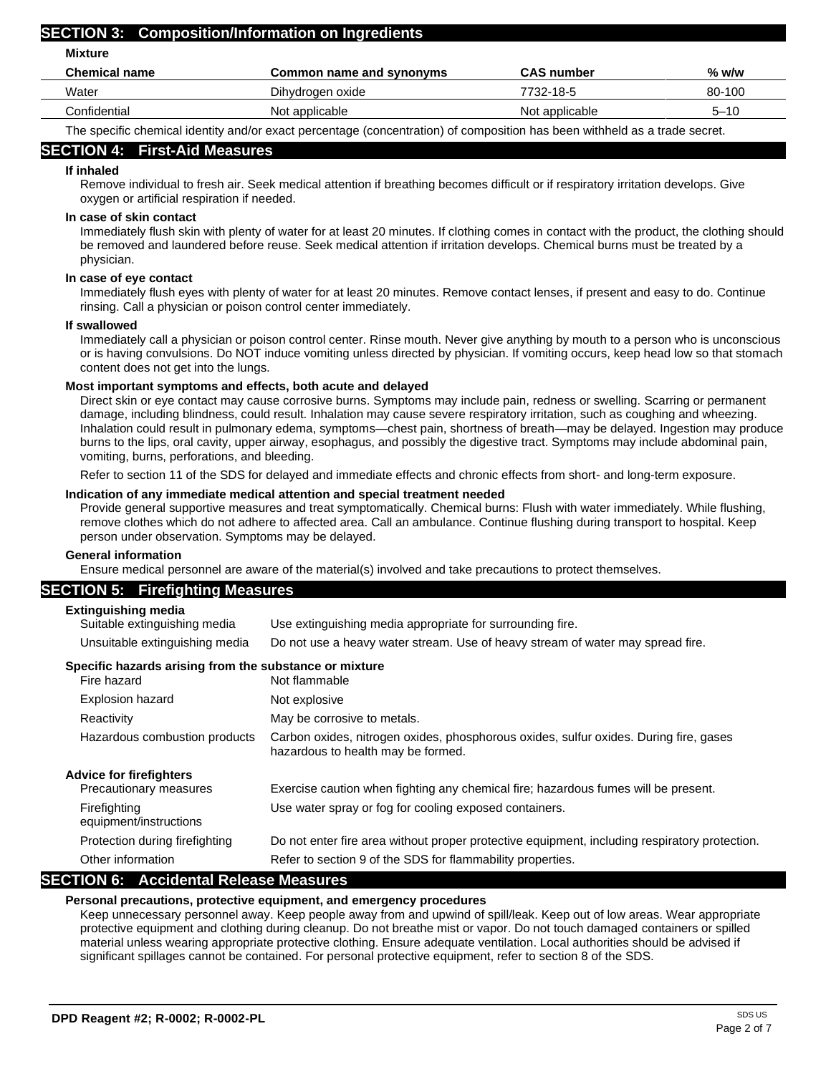### **SECTION 3: Composition/Information on Ingredients**

**Mixture**

| <b>Chemical name</b> | Common name and synonyms | <b>CAS number</b> | % w/w    |
|----------------------|--------------------------|-------------------|----------|
| Water                | Dihydrogen oxide         | 7732-18-5         | 80-100   |
| Confidential         | Not applicable           | Not applicable    | $5 - 10$ |
| --<br>$\cdots$<br>.  |                          |                   |          |

The specific chemical identity and/or exact percentage (concentration) of composition has been withheld as a trade secret.

## **SECTION 4: First-Aid Measures**

## **If inhaled**

Remove individual to fresh air. Seek medical attention if breathing becomes difficult or if respiratory irritation develops. Give oxygen or artificial respiration if needed.

## **In case of skin contact**

Immediately flush skin with plenty of water for at least 20 minutes. If clothing comes in contact with the product, the clothing should be removed and laundered before reuse. Seek medical attention if irritation develops. Chemical burns must be treated by a physician.

## **In case of eye contact**

Immediately flush eyes with plenty of water for at least 20 minutes. Remove contact lenses, if present and easy to do. Continue rinsing. Call a physician or poison control center immediately.

### **If swallowed**

Immediately call a physician or poison control center. Rinse mouth. Never give anything by mouth to a person who is unconscious or is having convulsions. Do NOT induce vomiting unless directed by physician. If vomiting occurs, keep head low so that stomach content does not get into the lungs.

### **Most important symptoms and effects, both acute and delayed**

Direct skin or eye contact may cause corrosive burns. Symptoms may include pain, redness or swelling. Scarring or permanent damage, including blindness, could result. Inhalation may cause severe respiratory irritation, such as coughing and wheezing. Inhalation could result in pulmonary edema, symptoms—chest pain, shortness of breath—may be delayed. Ingestion may produce burns to the lips, oral cavity, upper airway, esophagus, and possibly the digestive tract. Symptoms may include abdominal pain, vomiting, burns, perforations, and bleeding.

Refer to section 11 of the SDS for delayed and immediate effects and chronic effects from short- and long-term exposure.

### **Indication of any immediate medical attention and special treatment needed**

Provide general supportive measures and treat symptomatically. Chemical burns: Flush with water immediately. While flushing, remove clothes which do not adhere to affected area. Call an ambulance. Continue flushing during transport to hospital. Keep person under observation. Symptoms may be delayed.

### **General information**

Ensure medical personnel are aware of the material(s) involved and take precautions to protect themselves.

### **SECTION 5: Firefighting Measures**

### **Extinguishing media**

| Suitable extinguishing media   | Use extinguishing media appropriate for surrounding fire.                      |
|--------------------------------|--------------------------------------------------------------------------------|
| Unsuitable extinguishing media | Do not use a heavy water stream. Use of heavy stream of water may spread fire. |

## **Specific hazards arising from the substance or mixture**

| Fire hazard                            | Not flammable                                                                                                               |
|----------------------------------------|-----------------------------------------------------------------------------------------------------------------------------|
| Explosion hazard                       | Not explosive                                                                                                               |
| Reactivity                             | May be corrosive to metals.                                                                                                 |
| Hazardous combustion products          | Carbon oxides, nitrogen oxides, phosphorous oxides, sulfur oxides. During fire, gases<br>hazardous to health may be formed. |
| Advice for firefighters                |                                                                                                                             |
| Precautionary measures                 | Exercise caution when fighting any chemical fire; hazardous fumes will be present.                                          |
| Firefighting<br>equipment/instructions | Use water spray or fog for cooling exposed containers.                                                                      |
| Protection during firefighting         | Do not enter fire area without proper protective equipment, including respiratory protection.                               |
| Other information                      | Refer to section 9 of the SDS for flammability properties.                                                                  |
|                                        |                                                                                                                             |

## **SECTION 6: Accidental Release Measures**

### **Personal precautions, protective equipment, and emergency procedures**

Keep unnecessary personnel away. Keep people away from and upwind of spill/leak. Keep out of low areas. Wear appropriate protective equipment and clothing during cleanup. Do not breathe mist or vapor. Do not touch damaged containers or spilled material unless wearing appropriate protective clothing. Ensure adequate ventilation. Local authorities should be advised if significant spillages cannot be contained. For personal protective equipment, refer to section 8 of the SDS.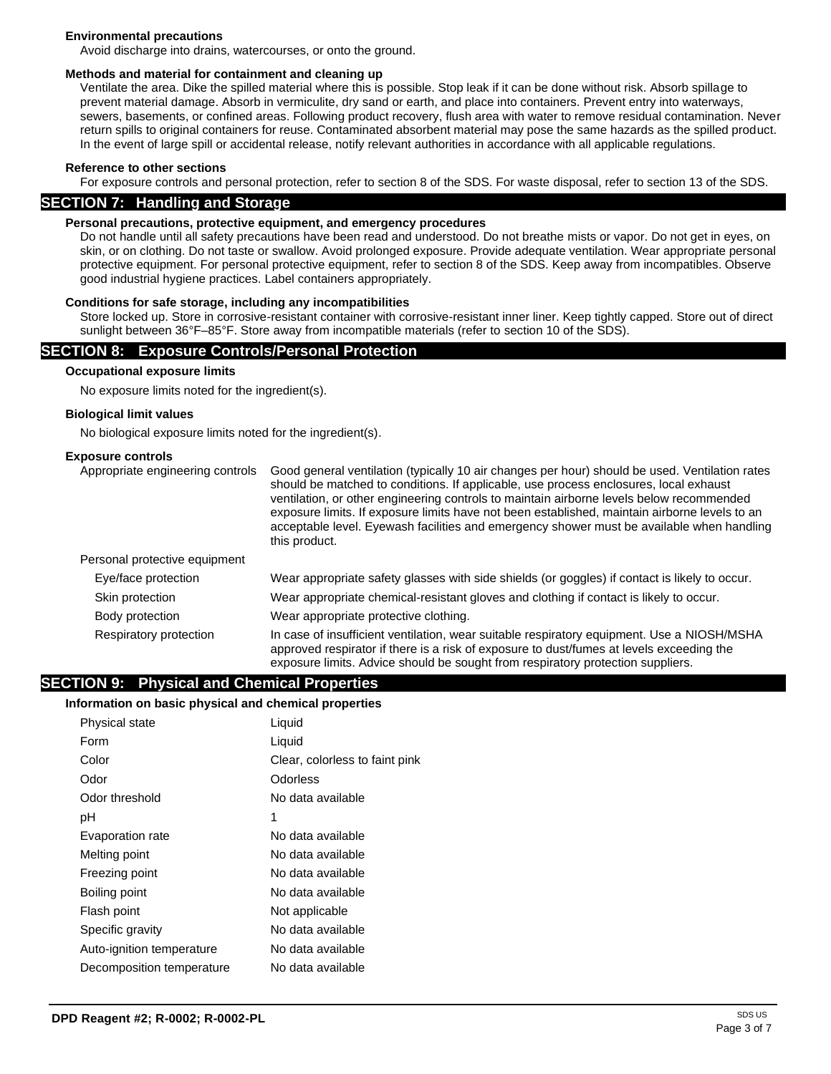### **Environmental precautions**

Avoid discharge into drains, watercourses, or onto the ground.

### **Methods and material for containment and cleaning up**

Ventilate the area. Dike the spilled material where this is possible. Stop leak if it can be done without risk. Absorb spillage to prevent material damage. Absorb in vermiculite, dry sand or earth, and place into containers. Prevent entry into waterways, sewers, basements, or confined areas. Following product recovery, flush area with water to remove residual contamination. Never return spills to original containers for reuse. Contaminated absorbent material may pose the same hazards as the spilled product. In the event of large spill or accidental release, notify relevant authorities in accordance with all applicable regulations.

### **Reference to other sections**

For exposure controls and personal protection, refer to section 8 of the SDS. For waste disposal, refer to section 13 of the SDS.

### **SECTION 7: Handling and Storage**

### **Personal precautions, protective equipment, and emergency procedures**

Do not handle until all safety precautions have been read and understood. Do not breathe mists or vapor. Do not get in eyes, on skin, or on clothing. Do not taste or swallow. Avoid prolonged exposure. Provide adequate ventilation. Wear appropriate personal protective equipment. For personal protective equipment, refer to section 8 of the SDS. Keep away from incompatibles. Observe good industrial hygiene practices. Label containers appropriately.

### **Conditions for safe storage, including any incompatibilities**

Store locked up. Store in corrosive-resistant container with corrosive-resistant inner liner. Keep tightly capped. Store out of direct sunlight between 36°F–85°F. Store away from incompatible materials (refer to section 10 of the SDS).

### **SECTION 8: Exposure Controls/Personal Protection**

### **Occupational exposure limits**

No exposure limits noted for the ingredient(s).

### **Biological limit values**

No biological exposure limits noted for the ingredient(s).

### **Exposure controls**

| Appropriate engineering controls | Good general ventilation (typically 10 air changes per hour) should be used. Ventilation rates<br>should be matched to conditions. If applicable, use process enclosures, local exhaust<br>ventilation, or other engineering controls to maintain airborne levels below recommended<br>exposure limits. If exposure limits have not been established, maintain airborne levels to an<br>acceptable level. Eyewash facilities and emergency shower must be available when handling<br>this product. |
|----------------------------------|----------------------------------------------------------------------------------------------------------------------------------------------------------------------------------------------------------------------------------------------------------------------------------------------------------------------------------------------------------------------------------------------------------------------------------------------------------------------------------------------------|
| Personal protective equipment    |                                                                                                                                                                                                                                                                                                                                                                                                                                                                                                    |
| Eye/face protection              | Wear appropriate safety glasses with side shields (or goggles) if contact is likely to occur.                                                                                                                                                                                                                                                                                                                                                                                                      |
| Skin protection                  | Wear appropriate chemical-resistant gloves and clothing if contact is likely to occur.                                                                                                                                                                                                                                                                                                                                                                                                             |
| Body protection                  | Wear appropriate protective clothing.                                                                                                                                                                                                                                                                                                                                                                                                                                                              |
| Respiratory protection           | In case of insufficient ventilation, wear suitable respiratory equipment. Use a NIOSH/MSHA<br>approved respirator if there is a risk of exposure to dust/fumes at levels exceeding the<br>exposure limits. Advice should be sought from respiratory protection suppliers.                                                                                                                                                                                                                          |

### **SECTION 9: Physical and Chemical Properties**

### **Information on basic physical and chemical properties**

| Physical state            | Liquid                         |
|---------------------------|--------------------------------|
| Form                      | Liquid                         |
| Color                     | Clear, colorless to faint pink |
| Odor                      | Odorless                       |
| Odor threshold            | No data available              |
| рH                        | 1                              |
| Evaporation rate          | No data available              |
| Melting point             | No data available              |
| Freezing point            | No data available              |
| Boiling point             | No data available              |
| Flash point               | Not applicable                 |
| Specific gravity          | No data available              |
| Auto-ignition temperature | No data available              |
| Decomposition temperature | No data available              |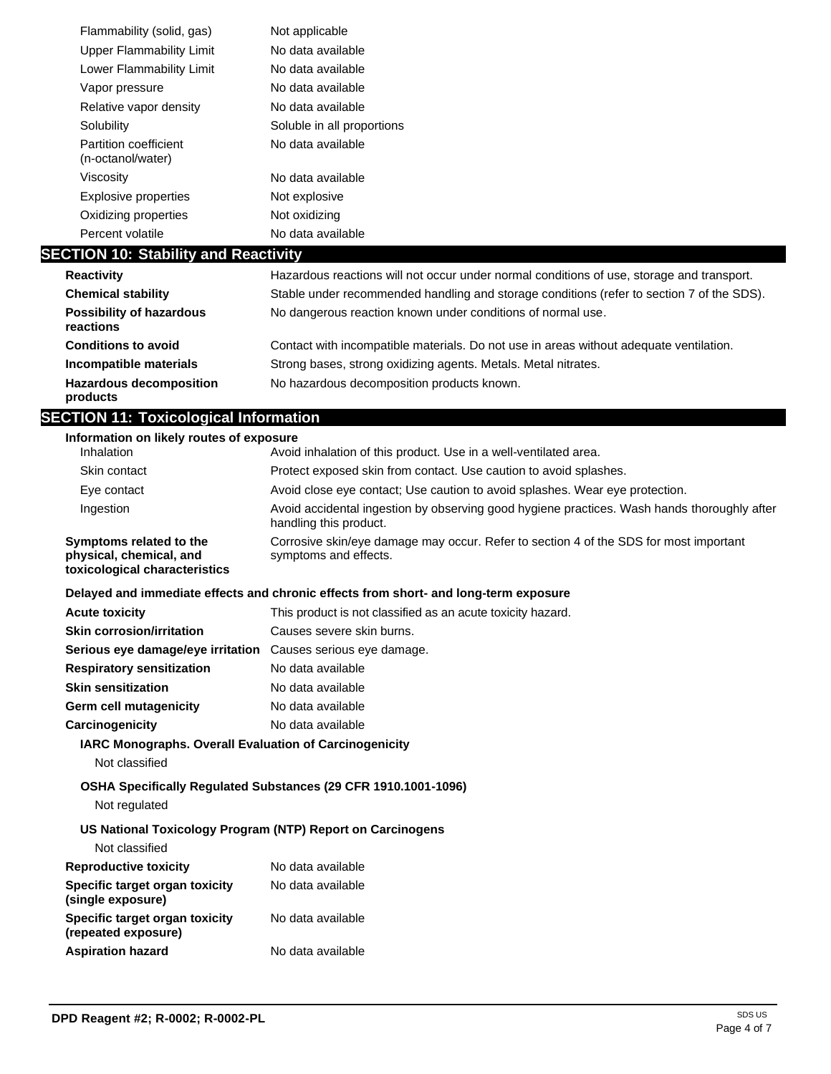| Flammability (solid, gas)                  | Not applicable             |
|--------------------------------------------|----------------------------|
| Upper Flammability Limit                   | No data available          |
| Lower Flammability Limit                   | No data available          |
| Vapor pressure                             | No data available          |
| Relative vapor density                     | No data available          |
| Solubility                                 | Soluble in all proportions |
| Partition coefficient<br>(n-octanol/water) | No data available          |
| Viscosity                                  | No data available          |
| Explosive properties                       | Not explosive              |
| Oxidizing properties                       | Not oxidizing              |
| Percent volatile                           | No data available          |

## **SECTION 10: Stability and Reactivity**

| <b>Reactivity</b>                            | Hazardous reactions will not occur under normal conditions of use, storage and transport. |
|----------------------------------------------|-------------------------------------------------------------------------------------------|
| <b>Chemical stability</b>                    | Stable under recommended handling and storage conditions (refer to section 7 of the SDS). |
| <b>Possibility of hazardous</b><br>reactions | No dangerous reaction known under conditions of normal use.                               |
| <b>Conditions to avoid</b>                   | Contact with incompatible materials. Do not use in areas without adequate ventilation.    |
| Incompatible materials                       | Strong bases, strong oxidizing agents. Metals. Metal nitrates.                            |
| <b>Hazardous decomposition</b><br>products   | No hazardous decomposition products known.                                                |

## **SECTION 11: Toxicological Information**

| Information on likely routes of exposure                                            |                                                                                                                       |  |
|-------------------------------------------------------------------------------------|-----------------------------------------------------------------------------------------------------------------------|--|
| Inhalation                                                                          | Avoid inhalation of this product. Use in a well-ventilated area.                                                      |  |
| Skin contact                                                                        | Protect exposed skin from contact. Use caution to avoid splashes.                                                     |  |
| Eye contact                                                                         | Avoid close eye contact; Use caution to avoid splashes. Wear eye protection.                                          |  |
| Ingestion                                                                           | Avoid accidental ingestion by observing good hygiene practices. Wash hands thoroughly after<br>handling this product. |  |
| Symptoms related to the<br>physical, chemical, and<br>toxicological characteristics | Corrosive skin/eye damage may occur. Refer to section 4 of the SDS for most important<br>symptoms and effects.        |  |
|                                                                                     | Delayed and immediate effects and chronic effects from short- and long-term exposure                                  |  |
| <b>Acute toxicity</b>                                                               | This product is not classified as an acute toxicity hazard.                                                           |  |
| <b>Skin corrosion/irritation</b>                                                    | Causes severe skin burns.                                                                                             |  |
| Serious eye damage/eye irritation Causes serious eye damage.                        |                                                                                                                       |  |
| <b>Respiratory sensitization</b>                                                    | No data available                                                                                                     |  |
| <b>Skin sensitization</b>                                                           | No data available                                                                                                     |  |
| <b>Germ cell mutagenicity</b>                                                       | No data available                                                                                                     |  |
| Carcinogenicity                                                                     | No data available                                                                                                     |  |
| <b>IARC Monographs. Overall Evaluation of Carcinogenicity</b>                       |                                                                                                                       |  |
| Not classified                                                                      |                                                                                                                       |  |
|                                                                                     | OSHA Specifically Regulated Substances (29 CFR 1910.1001-1096)                                                        |  |
| Not regulated                                                                       |                                                                                                                       |  |
| US National Toxicology Program (NTP) Report on Carcinogens                          |                                                                                                                       |  |
| Not classified                                                                      |                                                                                                                       |  |
| <b>Reproductive toxicity</b>                                                        | No data available                                                                                                     |  |
| Specific target organ toxicity<br>(single exposure)                                 | No data available                                                                                                     |  |
| Specific target organ toxicity<br>(repeated exposure)                               | No data available                                                                                                     |  |
| <b>Aspiration hazard</b>                                                            | No data available                                                                                                     |  |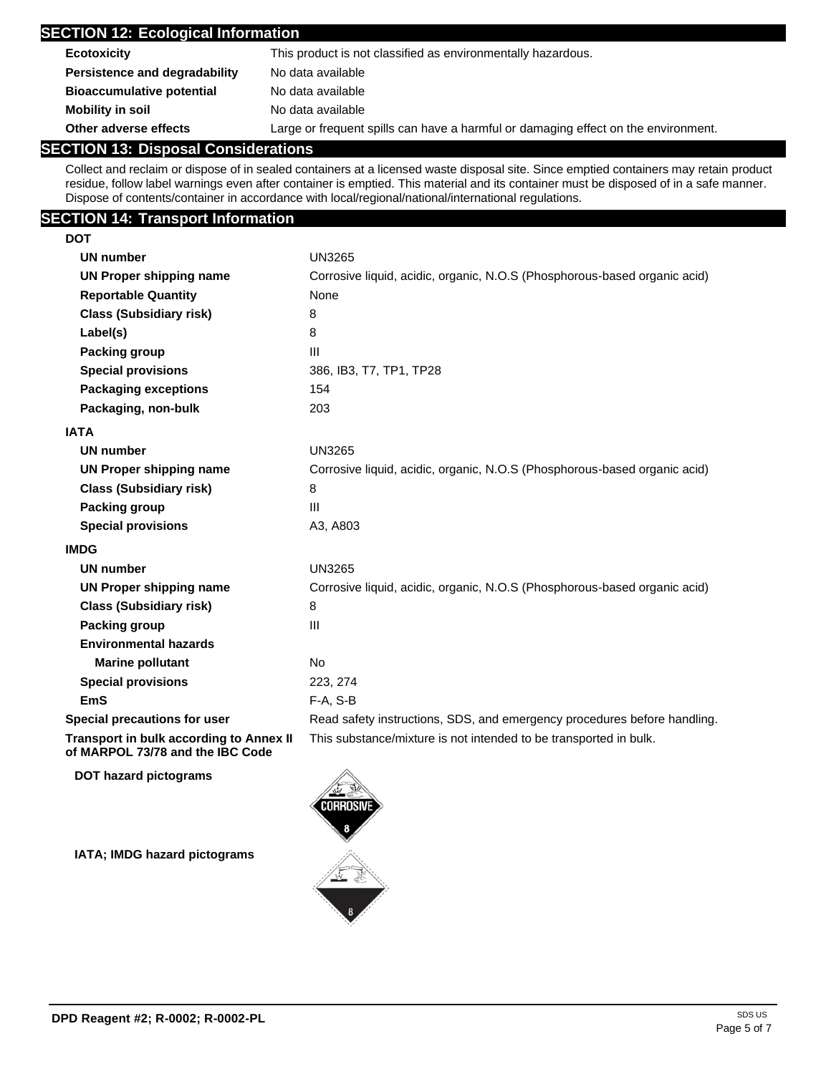| <b>SECTION 12: Ecological Information</b> |                                                                                    |  |
|-------------------------------------------|------------------------------------------------------------------------------------|--|
| <b>Ecotoxicity</b>                        | This product is not classified as environmentally hazardous.                       |  |
| Persistence and degradability             | No data available                                                                  |  |
| <b>Bioaccumulative potential</b>          | No data available                                                                  |  |
| <b>Mobility in soil</b>                   | No data available                                                                  |  |
| Other adverse effects                     | Large or frequent spills can have a harmful or damaging effect on the environment. |  |

## **SECTION 13: Disposal Considerations**

Collect and reclaim or dispose of in sealed containers at a licensed waste disposal site. Since emptied containers may retain product residue, follow label warnings even after container is emptied. This material and its container must be disposed of in a safe manner. Dispose of contents/container in accordance with local/regional/national/international regulations.

## **SECTION 14: Transport Information**

| <b>DOT</b>                                                                  |                                                                           |
|-----------------------------------------------------------------------------|---------------------------------------------------------------------------|
| <b>UN number</b>                                                            | <b>UN3265</b>                                                             |
| <b>UN Proper shipping name</b>                                              | Corrosive liquid, acidic, organic, N.O.S (Phosphorous-based organic acid) |
| <b>Reportable Quantity</b>                                                  | None                                                                      |
| <b>Class (Subsidiary risk)</b>                                              | 8                                                                         |
| Label(s)                                                                    | 8                                                                         |
| Packing group                                                               | $\mathbf{III}$                                                            |
| <b>Special provisions</b>                                                   | 386, IB3, T7, TP1, TP28                                                   |
| <b>Packaging exceptions</b>                                                 | 154                                                                       |
| Packaging, non-bulk                                                         | 203                                                                       |
| <b>IATA</b>                                                                 |                                                                           |
| <b>UN number</b>                                                            | <b>UN3265</b>                                                             |
| <b>UN Proper shipping name</b>                                              | Corrosive liquid, acidic, organic, N.O.S (Phosphorous-based organic acid) |
| <b>Class (Subsidiary risk)</b>                                              | 8                                                                         |
| Packing group                                                               | $\mathbf{III}$                                                            |
| <b>Special provisions</b>                                                   | A3, A803                                                                  |
| <b>IMDG</b>                                                                 |                                                                           |
| <b>UN number</b>                                                            | <b>UN3265</b>                                                             |
| <b>UN Proper shipping name</b>                                              | Corrosive liquid, acidic, organic, N.O.S (Phosphorous-based organic acid) |
| <b>Class (Subsidiary risk)</b>                                              | 8                                                                         |
| Packing group                                                               | III                                                                       |
| <b>Environmental hazards</b>                                                |                                                                           |
| <b>Marine pollutant</b>                                                     | No                                                                        |
| <b>Special provisions</b>                                                   | 223, 274                                                                  |
| EmS                                                                         | F-A, S-B                                                                  |
| Special precautions for user                                                | Read safety instructions, SDS, and emergency procedures before handling.  |
| Transport in bulk according to Annex II<br>of MARPOL 73/78 and the IBC Code | This substance/mixture is not intended to be transported in bulk.         |

**DOT hazard pictograms**

**IATA; IMDG hazard pictograms**

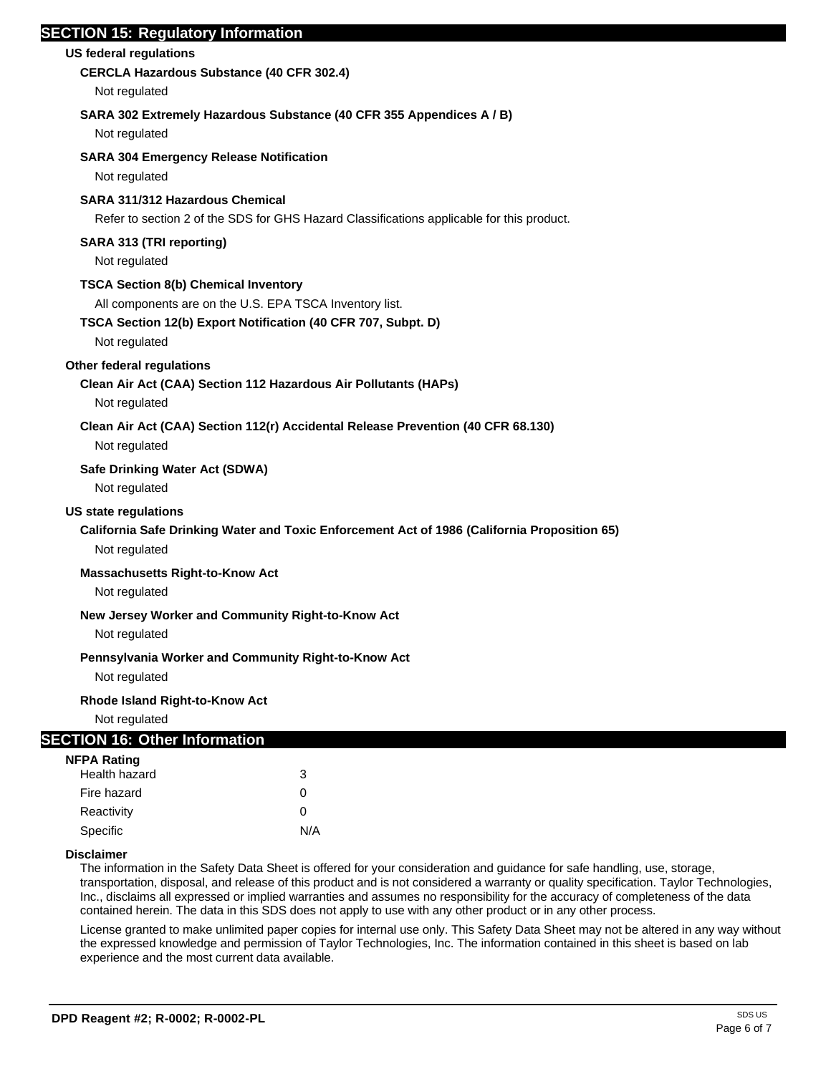## **SECTION 15: Regulatory Information**

### **US federal regulations**

## **CERCLA Hazardous Substance (40 CFR 302.4)**

Not regulated

## **SARA 302 Extremely Hazardous Substance (40 CFR 355 Appendices A / B)**

Not regulated

## **SARA 304 Emergency Release Notification**

Not regulated

## **SARA 311/312 Hazardous Chemical**

Refer to section 2 of the SDS for GHS Hazard Classifications applicable for this product.

## **SARA 313 (TRI reporting)**

Not regulated

## **TSCA Section 8(b) Chemical Inventory**

All components are on the U.S. EPA TSCA Inventory list.

## **TSCA Section 12(b) Export Notification (40 CFR 707, Subpt. D)**

Not regulated

## **Other federal regulations**

## **Clean Air Act (CAA) Section 112 Hazardous Air Pollutants (HAPs)**

Not regulated

### **Clean Air Act (CAA) Section 112(r) Accidental Release Prevention (40 CFR 68.130)**

Not regulated

### **Safe Drinking Water Act (SDWA)**

Not regulated

### **US state regulations**

## **California Safe Drinking Water and Toxic Enforcement Act of 1986 (California Proposition 65)**

Not regulated

### **Massachusetts Right-to-Know Act**

Not regulated

### **New Jersey Worker and Community Right-to-Know Act**

Not regulated

### **Pennsylvania Worker and Community Right-to-Know Act**

Not regulated

### **Rhode Island Right-to-Know Act**

Not regulated

### **SECTION 16: Other Information**

| NFPA Rating   |     |
|---------------|-----|
| Health hazard | 3   |
| Fire hazard   | 0   |
| Reactivity    | O   |
| Specific      | N/A |

### **Disclaimer**

The information in the Safety Data Sheet is offered for your consideration and guidance for safe handling, use, storage, transportation, disposal, and release of this product and is not considered a warranty or quality specification. Taylor Technologies, Inc., disclaims all expressed or implied warranties and assumes no responsibility for the accuracy of completeness of the data contained herein. The data in this SDS does not apply to use with any other product or in any other process.

License granted to make unlimited paper copies for internal use only. This Safety Data Sheet may not be altered in any way without the expressed knowledge and permission of Taylor Technologies, Inc. The information contained in this sheet is based on lab experience and the most current data available.